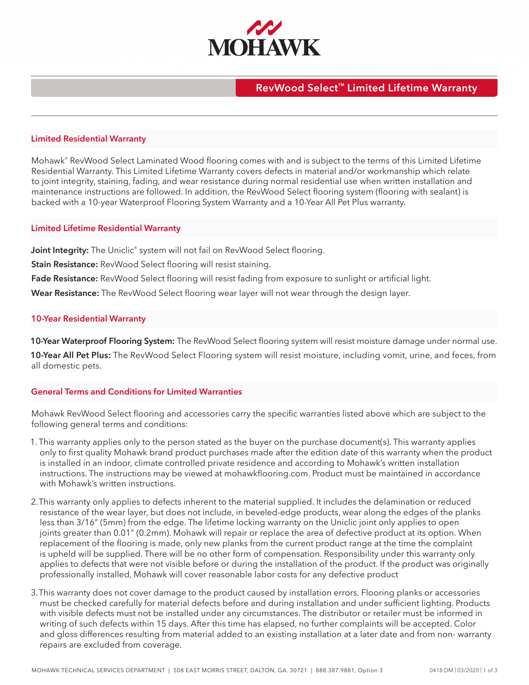

## **RevWood Select™ Limited Lifetime Warranty**

### **Limited Residential Warranty**

Mohawk® RevWood Select Laminated Wood flooring comes with and is subject to the terms of this Limited Lifetime Residential Warranty. This Limited Lifetime Warranty covers defects in material and/or workmanship which relate to joint integrity, staining, fading, and wear resistance during normal residential use when written installation and maintenance instructions are followed. In addition, the RevWood Select flooring system (flooring with sealant) is backed with a 10-year Waterproof Flooring System Warranty and a 10-Year All Pet Plus warranty.

#### **Limited Lifetime Residential Warranty**

Joint Integrity: The Uniclic<sup>®</sup> system will not fail on RevWood Select flooring.

**Stain Resistance:** RevWood Select flooring will resist staining.

**Fade Resistance:** RevWood Select flooring will resist fading from exposure to sunlight or artificial light.

**Wear Resistance:** The RevWood Select flooring wear layer will not wear through the design layer.

#### **10-Year Residential Warranty**

**10-Year Waterproof Flooring System:** The RevWood Select flooring system will resist moisture damage under normal use.

**10-Year All Pet Plus:** The RevWood Select Flooring system will resist moisture, including vomit, urine, and feces, from all domestic pets.

## **General Terms and Conditions for Limited Warranties**

Mohawk RevWood Select flooring and accessories carry the specific warranties listed above which are subject to the following general terms and conditions:

- 1. This warranty applies only to the person stated as the buyer on the purchase document(s). This warranty applies only to first quality Mohawk brand product purchases made after the edition date of this warranty when the product is installed in an indoor, climate controlled private residence and according to Mohawk's written installation instructions. The instructions may be viewed at mohawkflooring.com. Product must be maintained in accordance with Mohawk's written instructions.
- 2.This warranty only applies to defects inherent to the material supplied. It includes the delamination or reduced resistance of the wear layer, but does not include, in beveled-edge products, wear along the edges of the planks less than 3/16" (5mm) from the edge. The lifetime locking warranty on the Uniclic joint only applies to open joints greater than 0.01" (0.2mm). Mohawk will repair or replace the area of defective product at its option. When replacement of the flooring is made, only new planks from the current product range at the time the complaint is upheld will be supplied. There will be no other form of compensation. Responsibility under this warranty only applies to defects that were not visible before or during the installation of the product. If the product was originally professionally installed, Mohawk will cover reasonable labor costs for any defective product
- 3.This warranty does not cover damage to the product caused by installation errors. Flooring planks or accessories must be checked carefully for material defects before and during installation and under sufficient lighting. Products with visible defects must not be installed under any circumstances. The distributor or retailer must be informed in writing of such defects within 15 days. After this time has elapsed, no further complaints will be accepted. Color and gloss differences resulting from material added to an existing installation at a later date and from non- warranty repairs are excluded from coverage.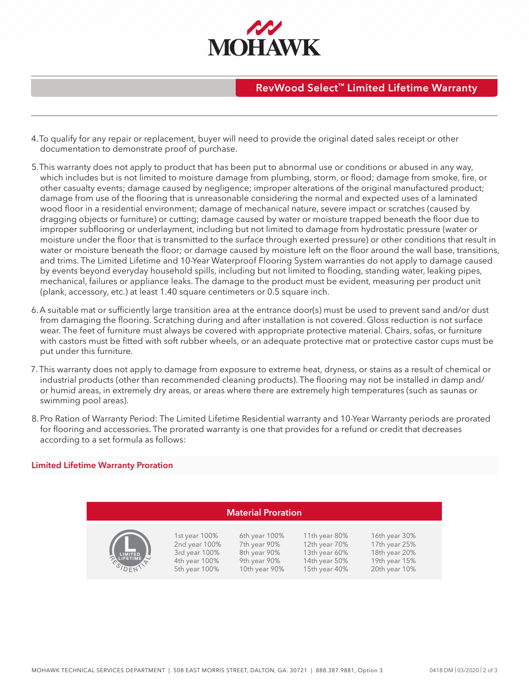

# **RevWood Select™ Limited Lifetime Warranty**

- 4.To qualify for any repair or replacement, buyer will need to provide the original dated sales receipt or other documentation to demonstrate proof of purchase.
- 5.This warranty does not apply to product that has been put to abnormal use or conditions or abused in any way, which includes but is not limited to moisture damage from plumbing, storm, or flood; damage from smoke, fire, or other casualty events; damage caused by negligence; improper alterations of the original manufactured product; damage from use of the flooring that is unreasonable considering the normal and expected uses of a laminated wood floor in a residential environment; damage of mechanical nature, severe impact or scratches (caused by dragging objects or furniture) or cutting; damage caused by water or moisture trapped beneath the floor due to improper subflooring or underlayment, including but not limited to damage from hydrostatic pressure (water or moisture under the floor that is transmitted to the surface through exerted pressure) or other conditions that result in water or moisture beneath the floor; or damage caused by moisture left on the floor around the wall base, transitions, and trims. The Limited Lifetime and 10-Year Waterproof Flooring System warranties do not apply to damage caused by events beyond everyday household spills, including but not limited to flooding, standing water, leaking pipes, mechanical, failures or appliance leaks. The damage to the product must be evident, measuring per product unit (plank, accessory, etc.) at least 1.40 square centimeters or 0.5 square inch.
- 6.A suitable mat or sufficiently large transition area at the entrance door(s) must be used to prevent sand and/or dust from damaging the flooring. Scratching during and after installation is not covered. Gloss reduction is not surface wear. The feet of furniture must always be covered with appropriate protective material. Chairs, sofas, or furniture with castors must be fitted with soft rubber wheels, or an adequate protective mat or protective castor cups must be put under this furniture.
- 7. This warranty does not apply to damage from exposure to extreme heat, dryness, or stains as a result of chemical or industrial products (other than recommended cleaning products). The flooring may not be installed in damp and/ or humid areas, in extremely dry areas, or areas where there are extremely high temperatures (such as saunas or swimming pool areas).
- 8.Pro Ration of Warranty Period: The Limited Lifetime Residential warranty and 10-Year Warranty periods are prorated for flooring and accessories. The prorated warranty is one that provides for a refund or credit that decreases according to a set formula as follows:

#### **Limited Lifetime Warranty Proration**

| <b>Material Proration</b>      |                                                                                   |                                                                                |                                                                                   |                                                                                   |
|--------------------------------|-----------------------------------------------------------------------------------|--------------------------------------------------------------------------------|-----------------------------------------------------------------------------------|-----------------------------------------------------------------------------------|
| LIMITED<br>LIFETIME<br>ESIDENT | 1st year 100%<br>2nd year 100%<br>3rd year 100%<br>4th year 100%<br>5th year 100% | 6th year 100%<br>7th year 90%<br>8th year 90%<br>9th year 90%<br>10th year 90% | 11th year 80%<br>12th year 70%<br>13th year 60%<br>14th year 50%<br>15th year 40% | 16th year 30%<br>17th year 25%<br>18th year 20%<br>19th year 15%<br>20th year 10% |